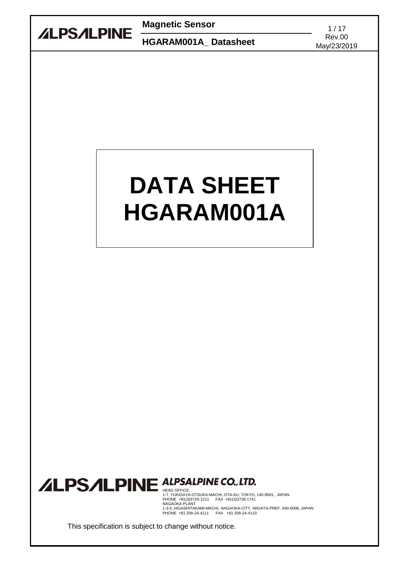

**Magnetic Sensor** 1/17

Rev.00<br> **HGARAM001A\_ Datasheet** Rev.00

May/23/2019

# **DATA SHEET HGARAM001A**

# **ALPSALPINE ALPSALPINE CO., LTD.**

1-7, YUKIGAYA-OTSUKA-MACHI, OTA-KU, TOKYO, 145-8501, JAPAN<br>PHONE +81(3)3726-1211 FAX +81(3)3728-1741<br>NAGAOKA PLANT<br>1-3-5, HIGASHITAKAMI-MACHI, NAGAOKA-CITY, NIIGATA-PREF, 940-0006, JAPAN<br>PHONE +81 258-24-4111 FAX +81 258

This specification is subject to change without notice.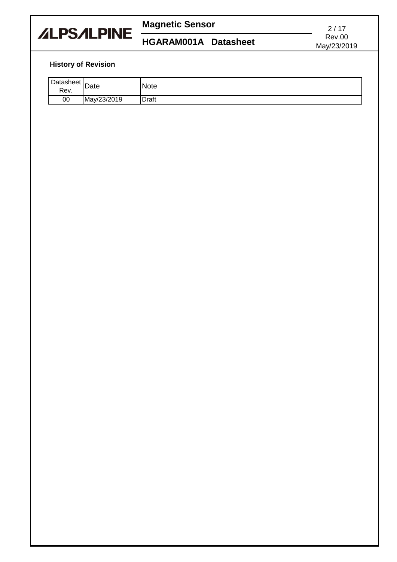

## **Magnetic Sensor**

## **HGARAM001A\_ Datasheet**

2 / 17 Rev.00 May/23/2019

### **History of Revision**

| Datasheet $\overline{D}$<br>Rev. | Date        | <b>Note</b>  |
|----------------------------------|-------------|--------------|
| 00                               | May/23/2019 | <b>Draft</b> |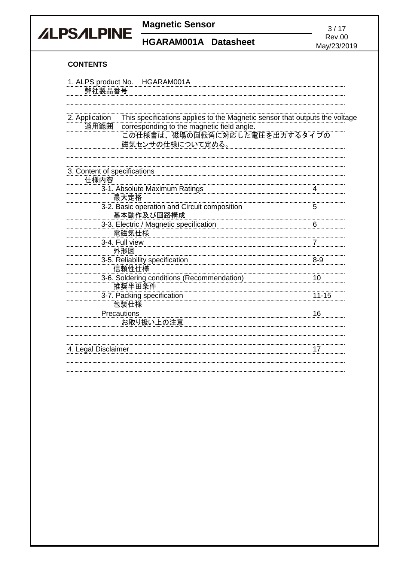

**Magnetic Sensor** 3/17<br> **Magnetic Sensor** 3/17<br>
Rev.00

**HGARAM001A\_Datasheet** 

May/23/2019

### **CONTENTS**

| 1. ALPS product No. HGARAM001A                                                                |           |
|-----------------------------------------------------------------------------------------------|-----------|
| 弊社製品番号                                                                                        |           |
|                                                                                               |           |
|                                                                                               |           |
| 2. Application<br>This specifications applies to the Magnetic sensor that outputs the voltage |           |
| 適用範囲<br>corresponding to the magnetic field angle.                                            |           |
| この仕様書は、磁場の回転角に対応した電圧を出力するタイプの                                                                 |           |
| 磁気センサの仕様について定める。                                                                              |           |
|                                                                                               |           |
|                                                                                               |           |
| 3. Content of specifications                                                                  |           |
| 仕様内容                                                                                          |           |
| 3-1. Absolute Maximum Ratings                                                                 |           |
| 最大定格                                                                                          |           |
| 3-2. Basic operation and Circuit composition                                                  |           |
| 基本動作及び回路構成                                                                                    |           |
| 3-3. Electric / Magnetic specification                                                        | - 6       |
| 電磁気仕様                                                                                         |           |
| 3-4. Full view                                                                                |           |
| 外形図                                                                                           |           |
| 3-5. Reliability specification                                                                | $8-9$     |
| 信頼性仕様                                                                                         |           |
| 3-6. Soldering conditions (Recommendation)                                                    | 10        |
| 推奨半田条件                                                                                        |           |
| 3-7. Packing specification                                                                    | $11 - 15$ |
| 包装仕様                                                                                          |           |
| Precautions                                                                                   | 16        |
| お取り扱い上の注意                                                                                     |           |
|                                                                                               |           |
|                                                                                               |           |
| 4. Legal Disclaimer                                                                           | 17        |
|                                                                                               |           |
|                                                                                               |           |
|                                                                                               |           |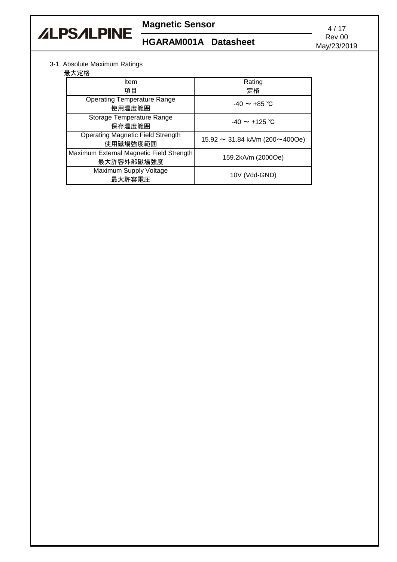

# **Magnetic Sensor** 4/17<br> **HOADAMS04A** Patractured Rev.00

## **HGARAM001A\_Datasheet**

May/23/2019

### 3-1. Absolute Maximum Ratings

最大定格

| ᄡᄼᄾᇨᆡᄓ                                                 |                                            |
|--------------------------------------------------------|--------------------------------------------|
| Item                                                   | Rating                                     |
| 項目                                                     | 定格                                         |
| <b>Operating Temperature Range</b><br>使用温度範囲           | $-40 \sim +85$ °C                          |
| Storage Temperature Range<br>保存温度範囲                    | $-40 \sim +125$ °C                         |
| <b>Operating Magnetic Field Strength</b><br>使用磁場強度範囲   | $15.92 \sim 31.84$ kA/m (200 $\sim$ 400Oe) |
| Maximum External Magnetic Field Strength<br>最大許容外部磁場強度 | 159.2kA/m (2000Oe)                         |
| Maximum Supply Voltage<br>最大許容電圧                       | 10V (Vdd-GND)                              |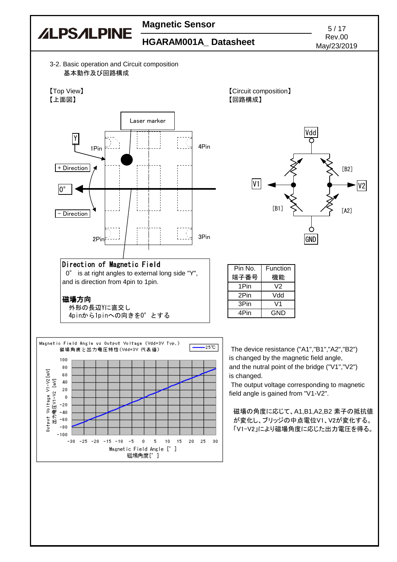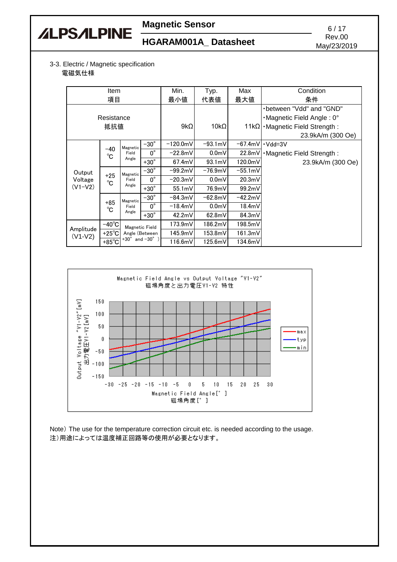

# **Magnetic Sensor** 6/17

# Rev.00<br> **HGARAM001A\_Datasheet** Rev.00

May/23/2019

#### 3-3. Electric / Magnetic specification 電磁気仕様

| <b>Item</b>            |                                                      |                            | Min.           | Typ.        | Max              | Condition         |                                            |         |  |
|------------------------|------------------------------------------------------|----------------------------|----------------|-------------|------------------|-------------------|--------------------------------------------|---------|--|
| 項目                     |                                                      |                            | 最小値            | 代表値         | 最大値              | 条件                |                                            |         |  |
|                        |                                                      |                            |                |             |                  |                   | -between "Vdd" and "GND"                   |         |  |
|                        | Resistance                                           |                            |                |             |                  |                   | $\cdot$ Magnetic Field Angle: 0 $^{\circ}$ |         |  |
|                        | 抵抗値                                                  |                            |                | $9k\Omega$  | $10k\Omega$      |                   | $11k\Omega$ • Magnetic Field Strength:     |         |  |
|                        |                                                      |                            |                |             |                  |                   | 23.9kA/m (300 Oe)                          |         |  |
|                        |                                                      | Magnetic                   | $-30^\circ$    | $-120.0$ mV | $-93.1mV$        | $-67.4mV$         | $\cdot$ Vdd=3V                             |         |  |
|                        | $-40$<br>$^{\circ}$ C                                | Field                      | $0^{\circ}$    | $-22.8mV$   | 0.0 <sub>m</sub> | 22.8 <sub>m</sub> | · Magnetic Field Strength:                 |         |  |
|                        |                                                      | Angle                      | $+30^\circ$    | 67.4mV      | $93.1 \text{mV}$ | 120.0mV           | 23.9kA/m (300 Oe)                          |         |  |
| Output                 | $+25$<br>$^{\circ}$ C                                | Magnetic<br>Field<br>Angle | $-30^\circ$    | $-99.2mV$   | $-76.9mV$        | $-55.1 \text{mV}$ |                                            |         |  |
| Voltage                |                                                      |                            |                | $0^{\circ}$ | $-20.3mV$        | 0.0 <sub>m</sub>  | 20.3mV                                     |         |  |
| $(V1-V2)$              |                                                      |                            | $+30^\circ$    | 55.1mV      | 76.9mV           | 99.2mV            |                                            |         |  |
|                        |                                                      | Magnetic                   | $-30^\circ$    | $-84.3mV$   | $-62.8mV$        | $-42.2mV$         |                                            |         |  |
|                        | $+85$<br>°C                                          | Field                      | $0^{\circ}$    | $-18.4mV$   | 0.0 <sub>m</sub> | 18.4mV            |                                            |         |  |
|                        |                                                      | Angle                      | $+30^\circ$    | 42.2mV      | 62.8mV           | 84.3mV            |                                            |         |  |
|                        | $-40^{\circ}$ C                                      | Magnetic Field             |                |             |                  | 173.9mV           | 186.2mV                                    | 198.5mV |  |
| Amplitude<br>$(V1-V2)$ | +25 $\degree$ C                                      |                            | Angle (Between | 145.9mV     | 153.8mV          | 161.3mV           |                                            |         |  |
|                        | $+30^{\circ}$ and $-30^{\circ}$ )<br>$+85^{\circ}$ C |                            |                | 116.6mV     | 125.6mV          | 134.6mV           |                                            |         |  |



Note) The use for the temperature correction circuit etc. is needed according to the usage. 注)用途によっては温度補正回路等の使用が必要となります。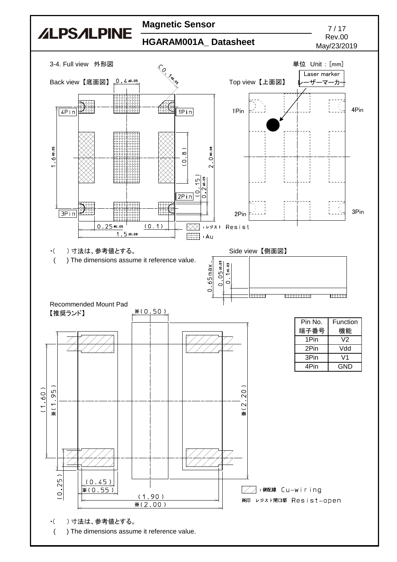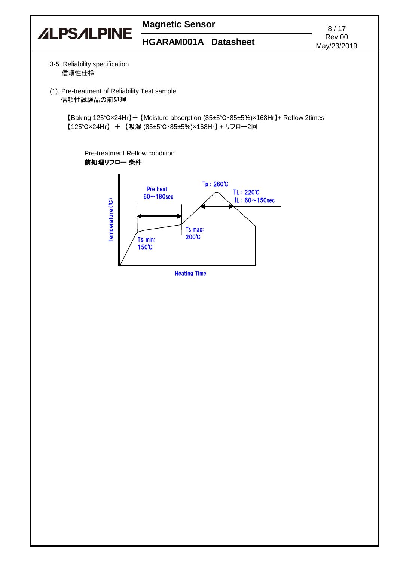

Heating Time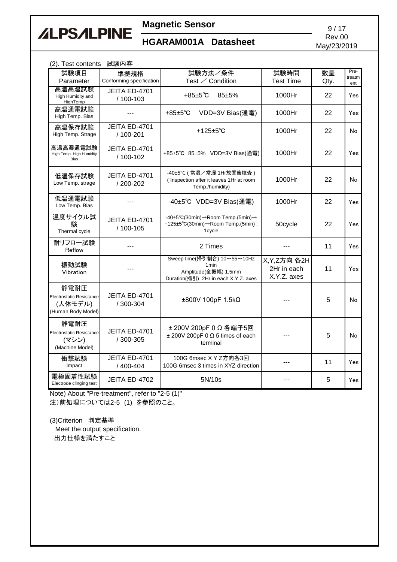# **ALPSALPINE**

# **Magnetic Sensor** 9/17

# Rev.00<br>**HGARAM001A\_ Datasheet** Rev.00

May/23/2019

| (2). Test contents 試験内容                                           |                                  |                                                                                                                 |                                             |            |                       |  |  |
|-------------------------------------------------------------------|----------------------------------|-----------------------------------------------------------------------------------------------------------------|---------------------------------------------|------------|-----------------------|--|--|
| 試験項目<br>Parameter                                                 | 準拠規格<br>Conforming specification | 試験方法/条件<br>Test ∕ Condition                                                                                     | 試験時間<br><b>Test Time</b>                    | 数量<br>Qty. | Pre-<br>treatm<br>ent |  |  |
| 局温局湿試験<br>High Humidity and<br>HighTemp                           | JEITA ED-4701<br>/ 100-103       | $+85±5^{\circ}$ C<br>85±5%                                                                                      | 1000Hr                                      | 22         | Yes                   |  |  |
| 高温通電試験<br>High Temp. Bias                                         |                                  | $+85±5^{\circ}C$<br>VDD=3V Bias(通電)                                                                             | 1000Hr                                      | 22         | Yes                   |  |  |
| 高温保存試験<br>High Temp. Strage                                       | JEITA ED-4701<br>/ 100-201       | +125 $\pm$ 5°C                                                                                                  | 1000Hr                                      | 22         | No                    |  |  |
| 高温高湿通電試験<br>High Temp. High Humidity<br><b>Bias</b>               | JEITA ED-4701<br>/ 100-102       | +85±5℃ 85±5% VDD=3V Bias(通電)                                                                                    | 1000Hr                                      | 22         | Yes                   |  |  |
| 低温保存試験<br>Low Temp. strage                                        | JEITA ED-4701<br>/ 200-202       | -40±5°C (常温/常湿 1Hr放置後検査)<br>(Inspection after it leaves 1Hr at room<br>Temp./humidity)                          | 1000Hr                                      | 22         | No                    |  |  |
| 低温通電試験<br>Low Temp. Bias                                          |                                  | -40±5°C VDD=3V Bias(通電)                                                                                         | 1000Hr                                      | 22         | Yes                   |  |  |
| 温度サイクル試<br>験<br>Thermal cycle                                     | JEITA ED-4701<br>/ 100-105       | -40±5°C(30min)→Room Temp.(5min)→<br>+125±5°C(30min)→Room Temp.(5min):<br>1cycle                                 | 50cycle                                     | 22         | Yes                   |  |  |
| 耐リフロー試験<br>Reflow                                                 |                                  | 2 Times                                                                                                         |                                             | 11         | Yes                   |  |  |
| 振動試験<br>Vibration                                                 |                                  | Sweep time(掃引割合) 10~55~10Hz<br>1 <sub>min</sub><br>Amplitude(全振幅) 1.5mm<br>Duration(掃引) 2Hr in each X.Y.Z. axes | X, Y, Z方向 各2H<br>2Hr in each<br>X.Y.Z. axes | 11         | Yes                   |  |  |
| 静電耐圧<br>Electrostatic Resistance<br>(人体モデル)<br>(Human Body Model) | JEITA ED-4701<br>/ 300-304       | ±800V 100pF 1.5kΩ                                                                                               |                                             | 5          | No                    |  |  |
| 静電耐圧<br>Electrostatic Resistance<br>(マシン)<br>(Machine Model)      | JEITA ED-4701<br>/ 300-305       | ± 200V 200pF 0 Ω 各端子5回<br>$±$ 200V 200pF 0 $\Omega$ 5 times of each<br>terminal                                 |                                             | 5          | No                    |  |  |
| 衝撃試験<br>Impact                                                    | JEITA ED-4701<br>/ 400-404       | 100G 6msec X Y Z方向各3回<br>100G 6msec 3 times in XYZ direction                                                    | ---                                         | 11         | Yes                   |  |  |
| 電極固着性試験<br>Electrode clinging test                                | JEITA ED-4702                    | 5N/10s                                                                                                          |                                             | 5          | Yes                   |  |  |

Note) About "Pre-treatment", refer to "2-5 (1)" 注)前処理については2-5 (1) を参照のこと。

(3)Criterion 判定基準

 Meet the output specification. 出力仕様を満たすこと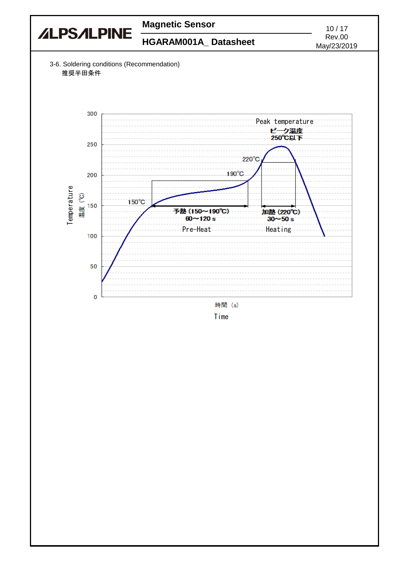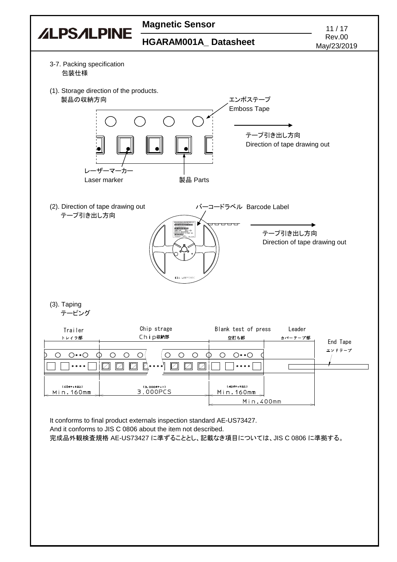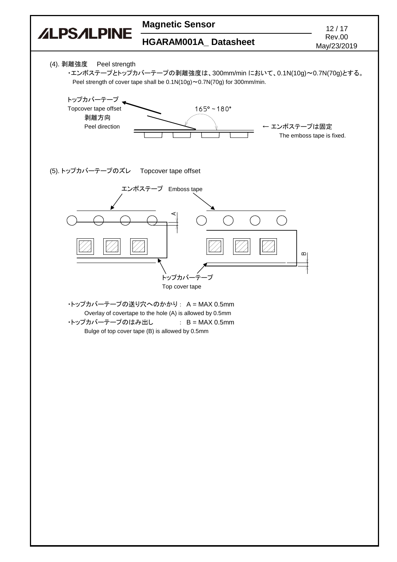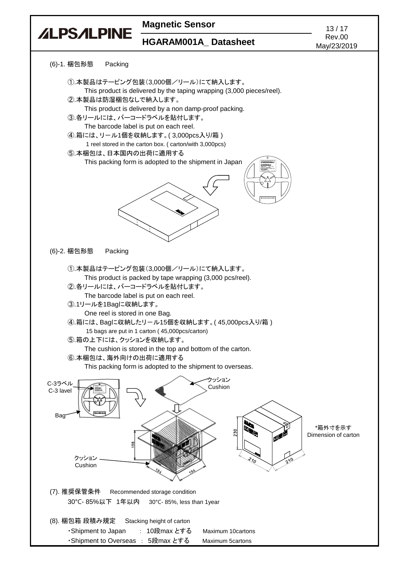

・Shipment to Overseas : 5段max とする Maximum 5cartons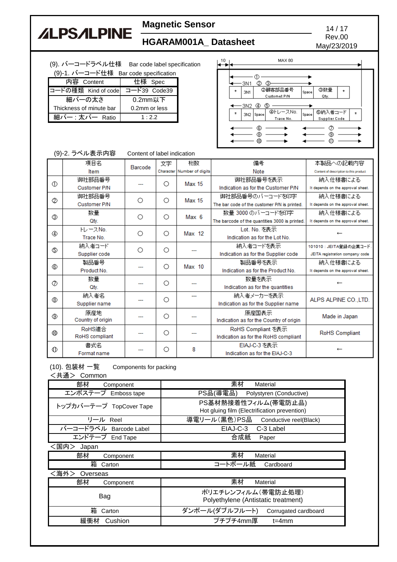# **ALPSALPINE**

# **Magnetic Sensor** 14/17<br> **HOADAMS04A** Price heat Rev.00

### **HGARAM001A\_Datasheet**

(9). バーコードラベル仕様 Bar code label specification

| (9)-1. バーコード仕様 Bar code specification |  |
|---------------------------------------|--|
|                                       |  |
|                                       |  |

| 内容 Content              | 仕様 Spec       |
|-------------------------|---------------|
| コードの種類 Kind of code     | コード39 Code39  |
| 細バーの太さ                  | 0.2mm以下       |
| Thickness of minute bar | 0.2mm or less |
| 細バー : 太バー Ratio         | 1:2.2         |

| 10 |         |                         |             | <b>MAX 80</b>                 |       |                          |         |         |  |
|----|---------|-------------------------|-------------|-------------------------------|-------|--------------------------|---------|---------|--|
|    | $\star$ | ·3N1<br>3N1             | ◎           | G)<br>②顧客部品番号<br>Customet P/N | Space | ③数量<br>Qty.              | $\star$ |         |  |
|    | $\star$ | -3N2<br>3N <sub>2</sub> | ⊕<br>Space  | ٩<br>④トレースNo.<br>Trace No.    | Space | ⑤納入者コード<br>Supplier Code |         | $\star$ |  |
|    |         |                         | ©<br>3<br>⅏ |                               |       | Я                        |         |         |  |

#### (9)-2. ラベル表示内容 Content of label indication

|   | 項目名               | Barcode | 文字 | 桁数                         | 備考                                             | 本製品への記載内容                              |          |  |  |  |  |   |   |                                |  |
|---|-------------------|---------|----|----------------------------|------------------------------------------------|----------------------------------------|----------|--|--|--|--|---|---|--------------------------------|--|
|   | Item              |         |    | Character Number of digits | Note                                           | Content of description to this product |          |  |  |  |  |   |   |                                |  |
|   | 御社部品番号            |         | O  | <b>Max 15</b>              | 御社部品番号を表示                                      | 納入仕様書による                               |          |  |  |  |  |   |   |                                |  |
| ⊕ | Customer P/N      |         |    |                            | Indication as for the Customer P/N             | It depends on the approval sheet.      |          |  |  |  |  |   |   |                                |  |
| Ø | 御社部品番号            | Ω       | Ο  | <b>Max 15</b>              | 御社部品番号のバーコードを印字                                | 納入仕様書による                               |          |  |  |  |  |   |   |                                |  |
|   | Customer P/N      |         |    |                            | The bar code of the customer P/N is printed.   | It depends on the approval sheet.      |          |  |  |  |  |   |   |                                |  |
| ⊚ | 数量                | Ω       | Ω  | Max <sub>6</sub>           | 数量 3000 のバーコードを印字                              | 納入仕様書による                               |          |  |  |  |  |   |   |                                |  |
|   | Qtv.              |         |    |                            | The barcode of the quantities 3000 is printed. | It depends on the approval sheet.      |          |  |  |  |  |   |   |                                |  |
|   | $FL = 2N0$ .      | Ω       | Ο  | Max 12                     | Lot. No. を表示                                   |                                        |          |  |  |  |  |   |   |                                |  |
|   | Trace No.         |         |    |                            | Indication as for the Lot No.                  |                                        |          |  |  |  |  |   |   |                                |  |
| ٩ | 納入者コード            | ◠       | Ω  |                            | 納入者コードを表示                                      | 101010:JEITA登録の企業コード.                  |          |  |  |  |  |   |   |                                |  |
|   | Supplier code     |         |    |                            | Indication as for the Supplier code            | JEITA registration company code        |          |  |  |  |  |   |   |                                |  |
| ⊛ | 製品番号              |         |    | Ω                          | $Max$ 10                                       | 製品番号を表示                                | 納入仕様書による |  |  |  |  |   |   |                                |  |
|   | Product No.       |         |    |                            | Indication as for the Product No.              | It depends on the approval sheet.      |          |  |  |  |  |   |   |                                |  |
| Ø | 数量                |         | Ω  |                            | 数量を表示                                          |                                        |          |  |  |  |  |   |   |                                |  |
|   | Qtv.              |         |    |                            | Indication as for the quantities               |                                        |          |  |  |  |  |   |   |                                |  |
| ⊛ | 納入者名              |         | Ο  |                            | 納入者メーカーを表示                                     | ALPS ALPINE CO., LTD.                  |          |  |  |  |  |   |   |                                |  |
|   | Supplier name     |         |    |                            | Indication as for the Supplier name            |                                        |          |  |  |  |  |   |   |                                |  |
| ⊛ | 原産地               |         |    | Ω                          | 原産国表示                                          | Made in Japan                          |          |  |  |  |  |   |   |                                |  |
|   | Country of origin |         |    |                            | Indication as for the Country of origin        |                                        |          |  |  |  |  |   |   |                                |  |
|   | RoHS適合            |         | Ω  |                            | RoHS Compliant を表示                             | <b>RoHS Compliant</b>                  |          |  |  |  |  |   |   |                                |  |
|   | RoHS compliant    |         |    |                            | Indication as for the RoHS compliant           |                                        |          |  |  |  |  |   |   |                                |  |
|   | 書式名               |         |    |                            | EIAJ-C-3 を表示                                   |                                        |          |  |  |  |  |   |   |                                |  |
| ⇕ | Format name       |         |    |                            |                                                |                                        |          |  |  |  |  | О | 8 | Indication as for the EIAJ-C-3 |  |

(10). 包装材 一覧 Components for packing

<共通> Common

| ╮ᅎᆺ罒╱<br><b>UUITIIUI</b> |                                                                     |  |  |  |
|--------------------------|---------------------------------------------------------------------|--|--|--|
| 部材<br>Component          | 素材<br>Material                                                      |  |  |  |
| エンボステープ Emboss tape      | PS品(導電品) Polystyren (Conductive)                                    |  |  |  |
| トップカバーテープ TopCover Tape  | PS基材熱接着性フィルム(帯電防止品)<br>Hot gluing film (Electrification prevention) |  |  |  |
| リール Reel                 | 導電リール (黒色) PS品 Conductive reel(Black)                               |  |  |  |
| バーコードラベル Barcode Label   | EIAJ-C-3<br>C-3 Label                                               |  |  |  |
| エンドテープ End Tape          | 合成紙<br>Paper                                                        |  |  |  |
| <国内><br>Japan            |                                                                     |  |  |  |
| 部材<br>Component          | 素材<br>Material                                                      |  |  |  |
| 箱<br>Carton              | コートボール紙<br>Cardboard                                                |  |  |  |
| <海外><br>Overseas         |                                                                     |  |  |  |
| 部材<br>Component          | 素材<br>Material                                                      |  |  |  |
| Bag                      | ポリエチレンフィルム(帯電防止処理)<br>Polyethylene (Antistatic treatment)           |  |  |  |
| 箱<br>Carton              | ダンボール(ダブルフルート) Corrugated cardboard                                 |  |  |  |
| 緩衝材<br>Cushion           | プチプチ4mm厚<br>$t = 4$ mm                                              |  |  |  |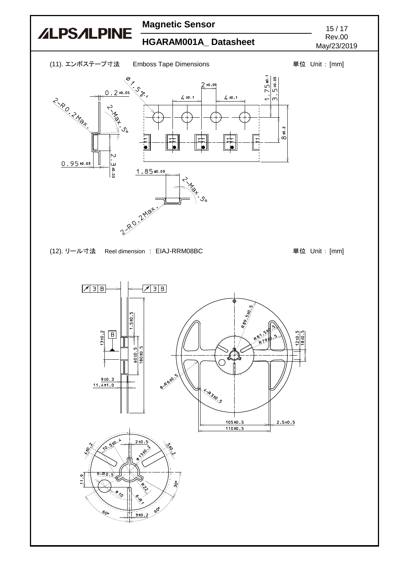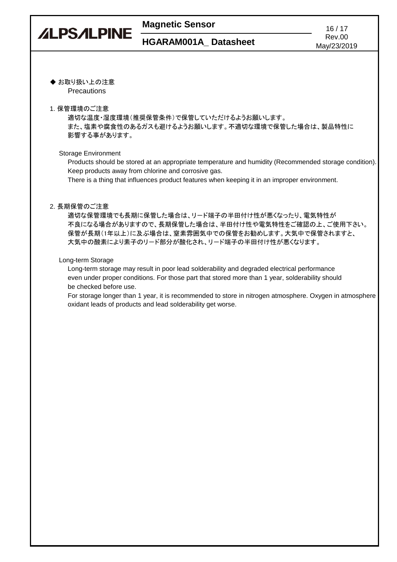# **ALPSALPINE**

### **Magnetic Sensor** 16/17

◆ お取り扱い上の注意 **Precautions** 

#### 1. 保管環境のご注意

適切な温度・湿度環境(推奨保管条件)で保管していただけるようお願いします。 また、塩素や腐食性のあるガスも避けるようお願いします。不適切な環境で保管した場合は、製品特性に 影響する事があります。

### Storage Environment

Products should be stored at an appropriate temperature and humidity (Recommended storage condition). Keep products away from chlorine and corrosive gas.

There is a thing that influences product features when keeping it in an improper environment.

### 2. 長期保管のご注意

適切な保管環境でも長期に保管した場合は、リード端子の半田付け性が悪くなったり、電気特性が 不良になる場合がありますので、長期保管した場合は、半田付け性や電気特性をご確認の上、ご使用下さい。 保管が長期(1年以上)に及ぶ場合は、窒素雰囲気中での保管をお勧めします。大気中で保管されますと、 大気中の酸素により素子のリード部分が酸化され、リード端子の半田付け性が悪くなります。

#### Long-term Storage

Long-term storage may result in poor lead solderability and degraded electrical performance even under proper conditions. For those part that stored more than 1 year, solderability should be checked before use.

For storage longer than 1 year, it is recommended to store in nitrogen atmosphere. Oxygen in atmosphere oxidant leads of products and lead solderability get worse.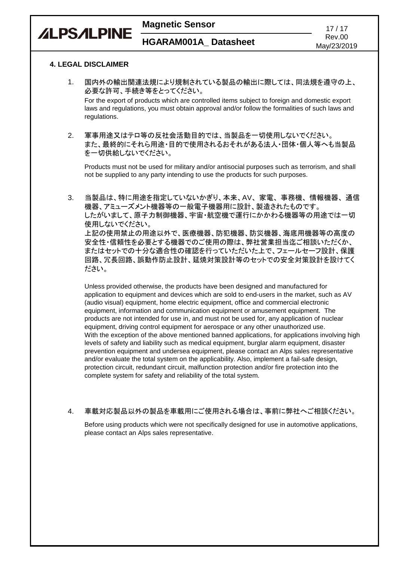

# Rev.00

### **4. LEGAL DISCLAIMER**

**ALPSALPINE** 

- 1. 国内外の輸出関連法規により規制されている製品の輸出に際しては、同法規を遵守の上、 必要な許可、手続き等をとってください。 For the export of products which are controlled items subject to foreign and domestic export laws and regulations, you must obtain approval and/or follow the formalities of such laws and regulations.
- 2. 軍事用途又はテロ等の反社会活動目的では、当製品を一切使用しないでください。 また、最終的にそれら用途・目的で使用されるおそれがある法人・団体・個人等へも当製品 を一切供給しないでください。

Products must not be used for military and/or antisocial purposes such as terrorism, and shall not be supplied to any party intending to use the products for such purposes.

3. 当製品は、特に用途を指定していないかぎり、本来、AV、家電、事務機、情報機器、通信 機器、アミューズメント機器等の一般電子機器用に設計、製造されたものです。 したがいまして、原子力制御機器、宇宙・航空機で運行にかかわる機器等の用途では一切 使用しないでください。 上記の使用禁止の用途以外で、医療機器、防犯機器、防災機器、海底用機器等の高度の 安全性・信頼性を必要とする機器でのご使用の際は、弊社営業担当迄ご相談いただくか、 またはセットでの十分な適合性の確認を行っていただいた上で、フェールセーフ設計、保護 回路、冗長回路、誤動作防止設計、延焼対策設計等のセットでの安全対策設計を設けてく ださい。

Unless provided otherwise, the products have been designed and manufactured for application to equipment and devices which are sold to end-users in the market, such as AV (audio visual) equipment, home electric equipment, office and commercial electronic equipment, information and communication equipment or amusement equipment. The products are not intended for use in, and must not be used for, any application of nuclear equipment, driving control equipment for aerospace or any other unauthorized use. With the exception of the above mentioned banned applications, for applications involving high levels of safety and liability such as medical equipment, burglar alarm equipment, disaster prevention equipment and undersea equipment, please contact an Alps sales representative and/or evaluate the total system on the applicability. Also, implement a fail-safe design, protection circuit, redundant circuit, malfunction protection and/or fire protection into the complete system for safety and reliability of the total system.

### 4. 車載対応製品以外の製品を車載用にご使用される場合は、事前に弊社へご相談ください。

Before using products which were not specifically designed for use in automotive applications, please contact an Alps sales representative.